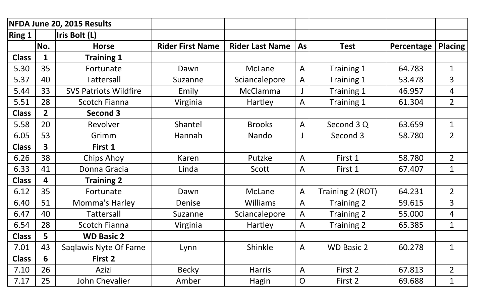| NFDA June 20, 2015 Results |                |                              |                         |                        |                |                   |            |                |
|----------------------------|----------------|------------------------------|-------------------------|------------------------|----------------|-------------------|------------|----------------|
| <b>Ring 1</b>              |                | Iris Bolt (L)                |                         |                        |                |                   |            |                |
|                            | No.            | <b>Horse</b>                 | <b>Rider First Name</b> | <b>Rider Last Name</b> | <b>As</b>      | <b>Test</b>       | Percentage | <b>Placing</b> |
| <b>Class</b>               | $\mathbf 1$    | <b>Training 1</b>            |                         |                        |                |                   |            |                |
| 5.30                       | 35             | Fortunate                    | Dawn                    | <b>McLane</b>          | A              | Training 1        | 64.783     | $\mathbf 1$    |
| 5.37                       | 40             | <b>Tattersall</b>            | Suzanne                 | Sciancalepore          | A              | Training 1        | 53.478     | $\overline{3}$ |
| 5.44                       | 33             | <b>SVS Patriots Wildfire</b> | Emily                   | <b>McClamma</b>        |                | Training 1        | 46.957     | 4              |
| 5.51                       | 28             | <b>Scotch Fianna</b>         | Virginia                | Hartley                | A              | Training 1        | 61.304     | $\overline{2}$ |
| <b>Class</b>               | $\overline{2}$ | Second 3                     |                         |                        |                |                   |            |                |
| 5.58                       | 20             | Revolver                     | Shantel                 | <b>Brooks</b>          | A              | Second 3 Q        | 63.659     | $\mathbf 1$    |
| 6.05                       | 53             | Grimm                        | Hannah                  | Nando                  |                | Second 3          | 58.780     | $\overline{2}$ |
| <b>Class</b>               | 3              | First 1                      |                         |                        |                |                   |            |                |
| 6.26                       | 38             | Chips Ahoy                   | Karen                   | Putzke                 | A              | First 1           | 58.780     | $\overline{2}$ |
| 6.33                       | 41             | Donna Gracia                 | Linda                   | Scott                  | A              | First 1           | 67.407     | $\mathbf 1$    |
| <b>Class</b>               | 4              | <b>Training 2</b>            |                         |                        |                |                   |            |                |
| 6.12                       | 35             | Fortunate                    | Dawn                    | McLane                 | A              | Training 2 (ROT)  | 64.231     | $\overline{2}$ |
| 6.40                       | 51             | Momma's Harley               | Denise                  | <b>Williams</b>        | $\mathsf{A}$   | <b>Training 2</b> | 59.615     | $\overline{3}$ |
| 6.47                       | 40             | <b>Tattersall</b>            | Suzanne                 | Sciancalepore          | A              | Training 2        | 55.000     | 4              |
| 6.54                       | 28             | <b>Scotch Fianna</b>         | Virginia                | Hartley                | A              | Training 2        | 65.385     | $\mathbf{1}$   |
| <b>Class</b>               | 5              | <b>WD Basic 2</b>            |                         |                        |                |                   |            |                |
| 7.01                       | 43             | Saglawis Nyte Of Fame        | Lynn                    | Shinkle                | $\mathsf{A}$   | <b>WD Basic 2</b> | 60.278     | $\mathbf 1$    |
| <b>Class</b>               | 6              | First 2                      |                         |                        |                |                   |            |                |
| 7.10                       | 26             | Azizi                        | <b>Becky</b>            | <b>Harris</b>          | A              | First 2           | 67.813     | $\overline{2}$ |
| 7.17                       | 25             | John Chevalier               | Amber                   | <b>Hagin</b>           | $\overline{O}$ | First 2           | 69.688     | $\mathbf{1}$   |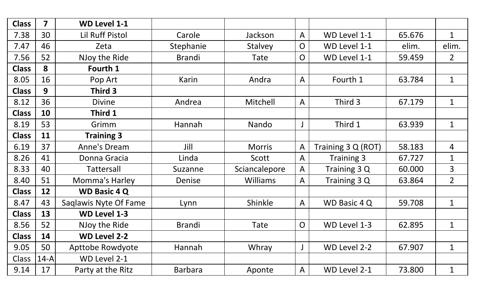| <b>Class</b> | $\overline{\mathbf{z}}$ | <b>WD Level 1-1</b>    |                |                 |                |                    |        |                |
|--------------|-------------------------|------------------------|----------------|-----------------|----------------|--------------------|--------|----------------|
| 7.38         | 30                      | <b>Lil Ruff Pistol</b> | Carole         | Jackson         | A              | WD Level 1-1       | 65.676 | $\mathbf{1}$   |
| 7.47         | 46                      | Zeta                   | Stephanie      | Stalvey         | $\overline{O}$ | WD Level 1-1       | elim.  | elim.          |
| 7.56         | 52                      | NJoy the Ride          | <b>Brandi</b>  | Tate            | O              | WD Level 1-1       | 59.459 | 2 <sup>1</sup> |
| <b>Class</b> | 8                       | Fourth 1               |                |                 |                |                    |        |                |
| 8.05         | 16                      | Pop Art                | Karin          | Andra           | A              | Fourth 1           | 63.784 | $\mathbf{1}$   |
| <b>Class</b> | 9                       | Third 3                |                |                 |                |                    |        |                |
| 8.12         | 36                      | <b>Divine</b>          | Andrea         | Mitchell        | A              | Third 3            | 67.179 | $\mathbf{1}$   |
| <b>Class</b> | 10                      | Third 1                |                |                 |                |                    |        |                |
| 8.19         | 53                      | Grimm                  | Hannah         | Nando           |                | Third 1            | 63.939 | $\mathbf{1}$   |
| <b>Class</b> | 11                      | <b>Training 3</b>      |                |                 |                |                    |        |                |
| 6.19         | 37                      | <b>Anne's Dream</b>    | Jill           | <b>Morris</b>   | A              | Training 3 Q (ROT) | 58.183 | 4              |
| 8.26         | 41                      | Donna Gracia           | Linda          | Scott           | A              | Training 3         | 67.727 | $\mathbf{1}$   |
| 8.33         | 40                      | Tattersall             | Suzanne        | Sciancalepore   | A              | Training 3 Q       | 60.000 | 3              |
| 8.40         | 51                      | Momma's Harley         | Denise         | <b>Williams</b> | A              | Training 3 Q       | 63.864 | $\overline{2}$ |
| <b>Class</b> | 12                      | <b>WD Basic 4 Q</b>    |                |                 |                |                    |        |                |
| 8.47         | 43                      | Saglawis Nyte Of Fame  | Lynn           | Shinkle         | A              | WD Basic 4 Q       | 59.708 | $\mathbf 1$    |
| <b>Class</b> | 13                      | <b>WD Level 1-3</b>    |                |                 |                |                    |        |                |
| 8.56         | 52                      | NJoy the Ride          | <b>Brandi</b>  | Tate            | $\mathsf{O}$   | WD Level 1-3       | 62.895 | $\mathbf{1}$   |
| <b>Class</b> | 14                      | <b>WD Level 2-2</b>    |                |                 |                |                    |        |                |
| 9.05         | 50                      | Apttobe Rowdyote       | Hannah         | Whray           |                | WD Level 2-2       | 67.907 | $\mathbf{1}$   |
| Class        | $14-A$                  | WD Level 2-1           |                |                 |                |                    |        |                |
| 9.14         | 17                      | Party at the Ritz      | <b>Barbara</b> | Aponte          | A              | WD Level 2-1       | 73.800 | $\mathbf{1}$   |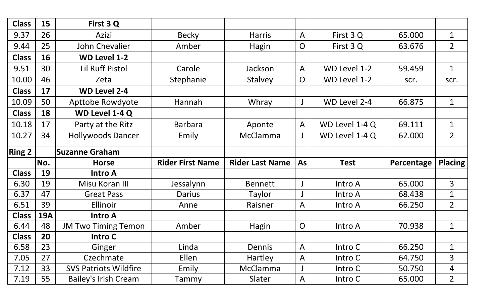| <b>Class</b>  | 15         | First 3 Q                    |                         |                        |                |                |            |                |
|---------------|------------|------------------------------|-------------------------|------------------------|----------------|----------------|------------|----------------|
| 9.37          | 26         | Azizi                        | <b>Becky</b>            | <b>Harris</b>          | $\mathsf{A}$   | First 3 Q      | 65.000     | $\mathbf{1}$   |
| 9.44          | 25         | <b>John Chevalier</b>        | Amber                   | Hagin                  | $\mathsf{O}$   | First 3 Q      | 63.676     | $\overline{2}$ |
| <b>Class</b>  | 16         | <b>WD Level 1-2</b>          |                         |                        |                |                |            |                |
| 9.51          | 30         | <b>Lil Ruff Pistol</b>       | Carole                  | Jackson                | A              | WD Level 1-2   | 59.459     | $\mathbf{1}$   |
| 10.00         | 46         | Zeta                         | Stephanie               | <b>Stalvey</b>         | O              | WD Level 1-2   | scr.       | scr.           |
| <b>Class</b>  | 17         | <b>WD Level 2-4</b>          |                         |                        |                |                |            |                |
| 10.09         | 50         | Apttobe Rowdyote             | Hannah                  | Whray                  |                | WD Level 2-4   | 66.875     | $\mathbf 1$    |
| <b>Class</b>  | 18         | WD Level 1-4 Q               |                         |                        |                |                |            |                |
| 10.18         | 17         | Party at the Ritz            | <b>Barbara</b>          | Aponte                 | $\overline{A}$ | WD Level 1-4 Q | 69.111     | $\mathbf 1$    |
| 10.27         | 34         | <b>Hollywoods Dancer</b>     | Emily                   | <b>McClamma</b>        |                | WD Level 1-4 Q | 62.000     | $\overline{2}$ |
|               |            |                              |                         |                        |                |                |            |                |
|               |            |                              |                         |                        |                |                |            |                |
| <b>Ring 2</b> |            | <b>Suzanne Graham</b>        |                         |                        |                |                |            |                |
|               | No.        | <b>Horse</b>                 | <b>Rider First Name</b> | <b>Rider Last Name</b> | <b>As</b>      | <b>Test</b>    | Percentage | <b>Placing</b> |
| <b>Class</b>  | 19         | <b>Intro A</b>               |                         |                        |                |                |            |                |
| 6.30          | 19         | Misu Koran III               | Jessalynn               | <b>Bennett</b>         |                | Intro A        | 65.000     | 3              |
| 6.37          | 47         | <b>Great Pass</b>            | <b>Darius</b>           | Taylor                 |                | Intro A        | 68.438     | $\mathbf 1$    |
| 6.51          | 39         | Ellinoir                     | Anne                    | Raisner                | A              | Intro A        | 66.250     | $\overline{2}$ |
| <b>Class</b>  | <b>19A</b> | <b>Intro A</b>               |                         |                        |                |                |            |                |
| 6.44          | 48         | <b>JM Two Timing Temon</b>   | Amber                   | <b>Hagin</b>           | $\overline{O}$ | Intro A        | 70.938     | $\mathbf{1}$   |
| <b>Class</b>  | 20         | Intro C                      |                         |                        |                |                |            |                |
| 6.58          | 23         | Ginger                       | Linda                   | Dennis                 | $\mathsf{A}$   | Intro C        | 66.250     | $\mathbf{1}$   |
| 7.05          | 27         | Czechmate                    | Ellen                   | Hartley                | A              | Intro C        | 64.750     | $\overline{3}$ |
| 7.12          | 33         | <b>SVS Patriots Wildfire</b> | Emily                   | <b>McClamma</b>        |                | Intro C        | 50.750     | 4              |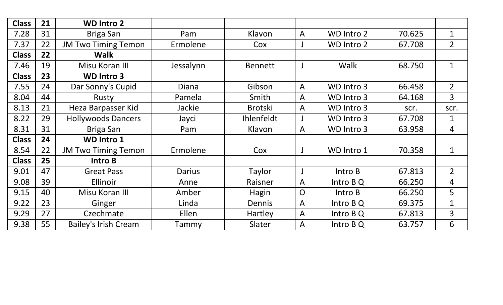| <b>Class</b> | 21 | <b>WD Intro 2</b>           |           |                |                |            |        |                |
|--------------|----|-----------------------------|-----------|----------------|----------------|------------|--------|----------------|
| 7.28         | 31 | Briga San                   | Pam       | Klavon         | $\overline{A}$ | WD Intro 2 | 70.625 | $\mathbf 1$    |
| 7.37         | 22 | <b>JM Two Timing Temon</b>  | Ermolene  | Cox            |                | WD Intro 2 | 67.708 | $\overline{2}$ |
| <b>Class</b> | 22 | <b>Walk</b>                 |           |                |                |            |        |                |
| 7.46         | 19 | Misu Koran III              | Jessalynn | <b>Bennett</b> |                | Walk       | 68.750 | $\mathbf{1}$   |
| <b>Class</b> | 23 | <b>WD Intro 3</b>           |           |                |                |            |        |                |
| 7.55         | 24 | Dar Sonny's Cupid           | Diana     | Gibson         | $\mathsf{A}$   | WD Intro 3 | 66.458 | $\overline{2}$ |
| 8.04         | 44 | Rusty                       | Pamela    | Smith          | $\mathsf{A}$   | WD Intro 3 | 64.168 | $\overline{3}$ |
| 8.13         | 21 | Heza Barpasser Kid          | Jackie    | <b>Brotski</b> | A              | WD Intro 3 | scr.   | scr.           |
| 8.22         | 29 | <b>Hollywoods Dancers</b>   | Jayci     | Ihlenfeldt     |                | WD Intro 3 | 67.708 | $\mathbf 1$    |
| 8.31         | 31 | Briga San                   | Pam       | Klavon         | A              | WD Intro 3 | 63.958 | $\overline{4}$ |
| <b>Class</b> | 24 | <b>WD Intro 1</b>           |           |                |                |            |        |                |
| 8.54         | 22 | <b>JM Two Timing Temon</b>  | Ermolene  | Cox            |                | WD Intro 1 | 70.358 | $\mathbf 1$    |
| <b>Class</b> | 25 | Intro B                     |           |                |                |            |        |                |
| 9.01         | 47 | <b>Great Pass</b>           | Darius    | Taylor         |                | Intro B    | 67.813 | $\overline{2}$ |
| 9.08         | 39 | <b>Ellinoir</b>             | Anne      | Raisner        | $\overline{A}$ | Intro B Q  | 66.250 | $\overline{4}$ |
| 9.15         | 40 | Misu Koran III              | Amber     | Hagin          | $\overline{O}$ | Intro B    | 66.250 | 5              |
| 9.22         | 23 | Ginger                      | Linda     | Dennis         | $\mathsf{A}$   | Intro B Q  | 69.375 | $\mathbf 1$    |
| 9.29         | 27 | Czechmate                   | Ellen     | Hartley        | $\overline{A}$ | Intro B Q  | 67.813 | $\overline{3}$ |
| 9.38         | 55 | <b>Bailey's Irish Cream</b> | Tammy     | Slater         | A              | Intro BQ   | 63.757 | 6              |